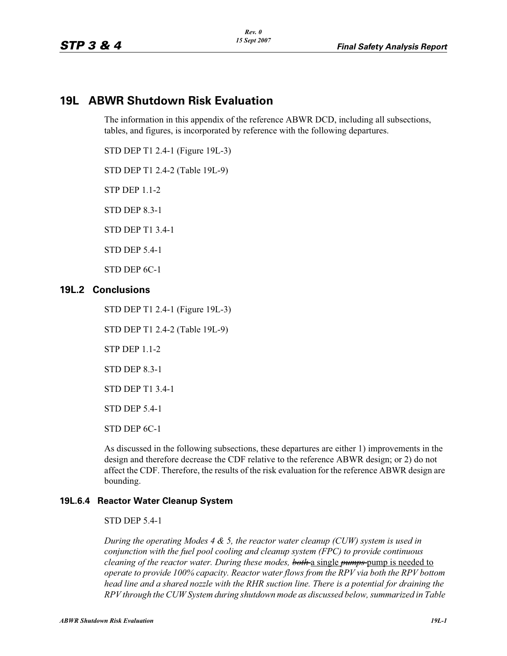# **19L ABWR Shutdown Risk Evaluation**

The information in this appendix of the reference ABWR DCD, including all subsections, tables, and figures, is incorporated by reference with the following departures.

STD DEP T1 2.4-1 (Figure 19L-3)

STD DEP T1 2.4-2 (Table 19L-9)

STP DEP 1.1-2

STD DEP 8.3-1

STD DEP T1 3.4-1

STD DEP 5.4-1

STD DEP 6C-1

### **19L.2 Conclusions**

STD DEP T1 2.4-1 (Figure 19L-3)

STD DEP T1 2.4-2 (Table 19L-9)

STP DEP 1.1-2

STD DEP 8.3-1

STD DEP T1 3.4-1

STD DEP 5.4-1

STD DEP 6C-1

As discussed in the following subsections, these departures are either 1) improvements in the design and therefore decrease the CDF relative to the reference ABWR design; or 2) do not affect the CDF. Therefore, the results of the risk evaluation for the reference ABWR design are bounding.

#### **19L.6.4 Reactor Water Cleanup System**

#### STD DEP 5.4-1

*During the operating Modes 4 & 5, the reactor water cleanup (CUW) system is used in conjunction with the fuel pool cooling and cleanup system (FPC) to provide continuous cleaning of the reactor water. During these modes, both* a single *pumps* pump is needed to *operate to provide 100% capacity. Reactor water flows from the RPV via both the RPV bottom head line and a shared nozzle with the RHR suction line. There is a potential for draining the RPV through the CUW System during shutdown mode as discussed below, summarized in Table*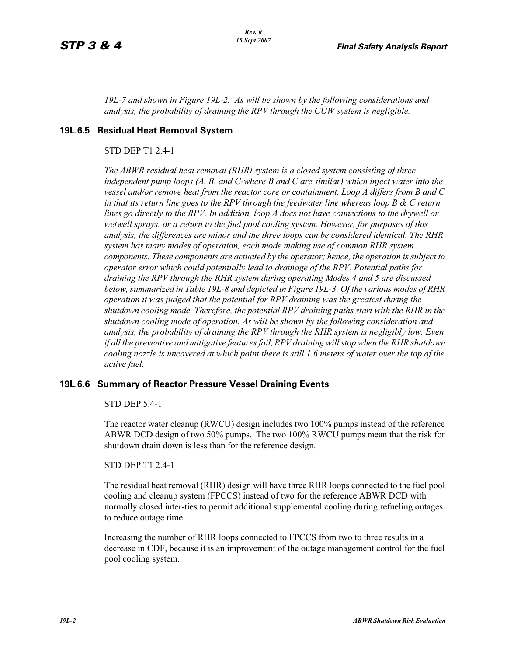*19L-7 and shown in Figure 19L-2. As will be shown by the following considerations and analysis, the probability of draining the RPV through the CUW system is negligible.*

#### **19L.6.5 Residual Heat Removal System**

#### STD DEP T1 2.4-1

*The ABWR residual heat removal (RHR) system is a closed system consisting of three independent pump loops (A, B, and C-where B and C are similar) which inject water into the vessel and/or remove heat from the reactor core or containment. Loop A differs from B and C in that its return line goes to the RPV through the feedwater line whereas loop B & C return lines go directly to the RPV. In addition, loop A does not have connections to the drywell or wetwell sprays. or a return to the fuel pool cooling system. However, for purposes of this analysis, the differences are minor and the three loops can be considered identical. The RHR system has many modes of operation, each mode making use of common RHR system components. These components are actuated by the operator; hence, the operation is subject to operator error which could potentially lead to drainage of the RPV. Potential paths for draining the RPV through the RHR system during operating Modes 4 and 5 are discussed below, summarized in Table 19L-8 and depicted in Figure 19L-3. Of the various modes of RHR operation it was judged that the potential for RPV draining was the greatest during the shutdown cooling mode. Therefore, the potential RPV draining paths start with the RHR in the shutdown cooling mode of operation. As will be shown by the following consideration and analysis, the probability of draining the RPV through the RHR system is negligibly low. Even if all the preventive and mitigative features fail, RPV draining will stop when the RHR shutdown cooling nozzle is uncovered at which point there is still 1.6 meters of water over the top of the active fuel.*

#### **19L.6.6 Summary of Reactor Pressure Vessel Draining Events**

#### STD DEP 5.4-1

The reactor water cleanup (RWCU) design includes two 100% pumps instead of the reference ABWR DCD design of two 50% pumps. The two 100% RWCU pumps mean that the risk for shutdown drain down is less than for the reference design.

#### STD DEP T1 2.4-1

The residual heat removal (RHR) design will have three RHR loops connected to the fuel pool cooling and cleanup system (FPCCS) instead of two for the reference ABWR DCD with normally closed inter-ties to permit additional supplemental cooling during refueling outages to reduce outage time.

Increasing the number of RHR loops connected to FPCCS from two to three results in a decrease in CDF, because it is an improvement of the outage management control for the fuel pool cooling system.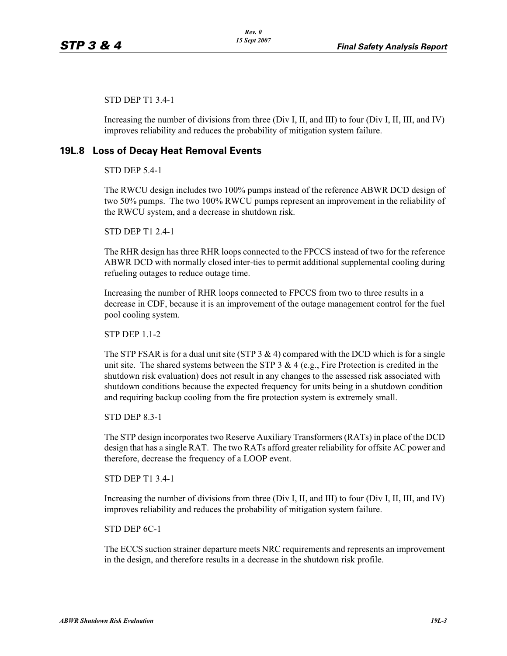STD DEP T1 3.4-1

Increasing the number of divisions from three (Div I, II, and III) to four (Div I, II, III, and IV) improves reliability and reduces the probability of mitigation system failure.

## **19L.8 Loss of Decay Heat Removal Events**

STD DEP 5.4-1

The RWCU design includes two 100% pumps instead of the reference ABWR DCD design of two 50% pumps. The two 100% RWCU pumps represent an improvement in the reliability of the RWCU system, and a decrease in shutdown risk.

STD DEP T1 2.4-1

The RHR design has three RHR loops connected to the FPCCS instead of two for the reference ABWR DCD with normally closed inter-ties to permit additional supplemental cooling during refueling outages to reduce outage time.

Increasing the number of RHR loops connected to FPCCS from two to three results in a decrease in CDF, because it is an improvement of the outage management control for the fuel pool cooling system.

STP DEP 1.1-2

The STP FSAR is for a dual unit site (STP  $3 \& 4$ ) compared with the DCD which is for a single unit site. The shared systems between the STP  $3 \& 4$  (e.g., Fire Protection is credited in the shutdown risk evaluation) does not result in any changes to the assessed risk associated with shutdown conditions because the expected frequency for units being in a shutdown condition and requiring backup cooling from the fire protection system is extremely small.

STD DEP 8.3-1

The STP design incorporates two Reserve Auxiliary Transformers (RATs) in place of the DCD design that has a single RAT. The two RATs afford greater reliability for offsite AC power and therefore, decrease the frequency of a LOOP event.

STD DEP T1 3.4-1

Increasing the number of divisions from three (Div I, II, and III) to four (Div I, II, III, and IV) improves reliability and reduces the probability of mitigation system failure.

STD DEP 6C-1

The ECCS suction strainer departure meets NRC requirements and represents an improvement in the design, and therefore results in a decrease in the shutdown risk profile.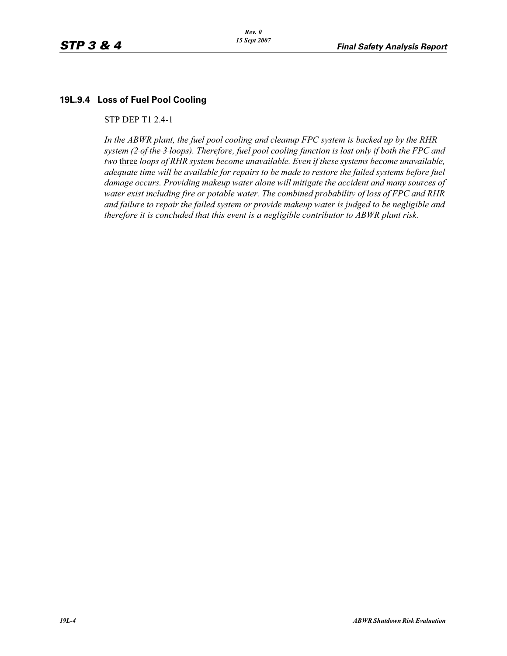## **19L.9.4 Loss of Fuel Pool Cooling**

STP DEP T1 2.4-1

*In the ABWR plant, the fuel pool cooling and cleanup FPC system is backed up by the RHR system (2 of the 3 loops). Therefore, fuel pool cooling function is lost only if both the FPC and two* three *loops of RHR system become unavailable. Even if these systems become unavailable, adequate time will be available for repairs to be made to restore the failed systems before fuel damage occurs. Providing makeup water alone will mitigate the accident and many sources of water exist including fire or potable water. The combined probability of loss of FPC and RHR and failure to repair the failed system or provide makeup water is judged to be negligible and therefore it is concluded that this event is a negligible contributor to ABWR plant risk.*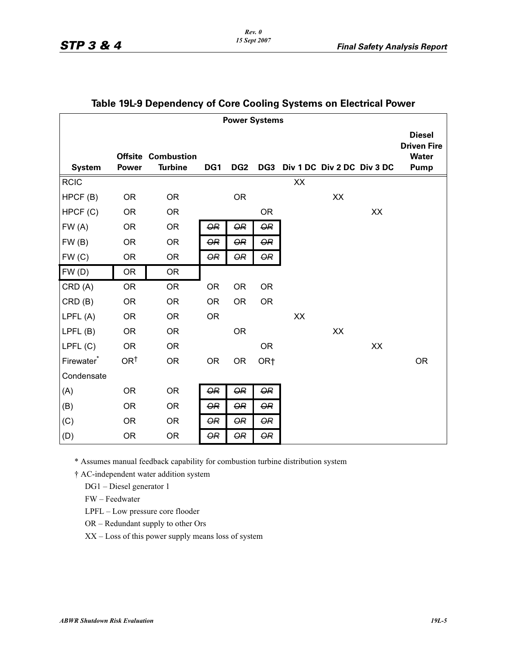| <b>Power Systems</b> |                 |                                             |                     |                         |                 |                                |    |    |                                                             |
|----------------------|-----------------|---------------------------------------------|---------------------|-------------------------|-----------------|--------------------------------|----|----|-------------------------------------------------------------|
| <b>System</b>        | <b>Power</b>    | <b>Offsite Combustion</b><br><b>Turbine</b> | DG1                 | DG <sub>2</sub>         |                 | DG3 Div 1 DC Div 2 DC Div 3 DC |    |    | <b>Diesel</b><br><b>Driven Fire</b><br><b>Water</b><br>Pump |
| <b>RCIC</b>          |                 |                                             |                     |                         |                 | $\mathsf{X}\mathsf{X}$         |    |    |                                                             |
| HPCF (B)             | <b>OR</b>       | <b>OR</b>                                   |                     | <b>OR</b>               |                 |                                | XX |    |                                                             |
| HPCF (C)             | <b>OR</b>       | <b>OR</b>                                   |                     |                         | <b>OR</b>       |                                |    | XX |                                                             |
| FW(A)                | <b>OR</b>       | <b>OR</b>                                   | <b>OR</b>           | $\overline{QR}$         | <b>OR</b>       |                                |    |    |                                                             |
| FW(B)                | <b>OR</b>       | <b>OR</b>                                   | <b>OR</b>           | $\overline{OR}$         | <b>OR</b>       |                                |    |    |                                                             |
| FW(C)                | <b>OR</b>       | <b>OR</b>                                   | <b>OR</b>           | $\overline{\mathsf{O}}$ | <b>OR</b>       |                                |    |    |                                                             |
| FW(D)                | <b>OR</b>       | <b>OR</b>                                   |                     |                         |                 |                                |    |    |                                                             |
| CRD (A)              | <b>OR</b>       | <b>OR</b>                                   | <b>OR</b>           | <b>OR</b>               | <b>OR</b>       |                                |    |    |                                                             |
| CRD(B)               | <b>OR</b>       | <b>OR</b>                                   | <b>OR</b>           | <b>OR</b>               | <b>OR</b>       |                                |    |    |                                                             |
| LPFL (A)             | <b>OR</b>       | <b>OR</b>                                   | <b>OR</b>           |                         |                 | XX                             |    |    |                                                             |
| LPFL(B)              | <b>OR</b>       | <b>OR</b>                                   |                     | <b>OR</b>               |                 |                                | XX |    |                                                             |
| LPFL(C)              | <b>OR</b>       | <b>OR</b>                                   |                     |                         | <b>OR</b>       |                                |    | XX |                                                             |
| Firewater*           | OR <sup>t</sup> | <b>OR</b>                                   | <b>OR</b>           | <b>OR</b>               | OR <sub>†</sub> |                                |    |    | <b>OR</b>                                                   |
| Condensate           |                 |                                             |                     |                         |                 |                                |    |    |                                                             |
| (A)                  | <b>OR</b>       | <b>OR</b>                                   | $\pmb{\mathsf{OR}}$ | $\overline{OR}$         | <b>OR</b>       |                                |    |    |                                                             |
| (B)                  | <b>OR</b>       | <b>OR</b>                                   | <b>OR</b>           | <b>OR</b>               | <b>OR</b>       |                                |    |    |                                                             |
| (C)                  | <b>OR</b>       | <b>OR</b>                                   | <b>OR</b>           | <b>OR</b>               | <b>OR</b>       |                                |    |    |                                                             |
| (D)                  | <b>OR</b>       | <b>OR</b>                                   | <b>OR</b>           | <b>OR</b>               | <b>OR</b>       |                                |    |    |                                                             |

## **Table 19L-9 Dependency of Core Cooling Systems on Electrical Power**

\* Assumes manual feedback capability for combustion turbine distribution system

† AC-independent water addition system

DG1 – Diesel generator 1

FW – Feedwater

LPFL – Low pressure core flooder

OR – Redundant supply to other Ors

XX – Loss of this power supply means loss of system